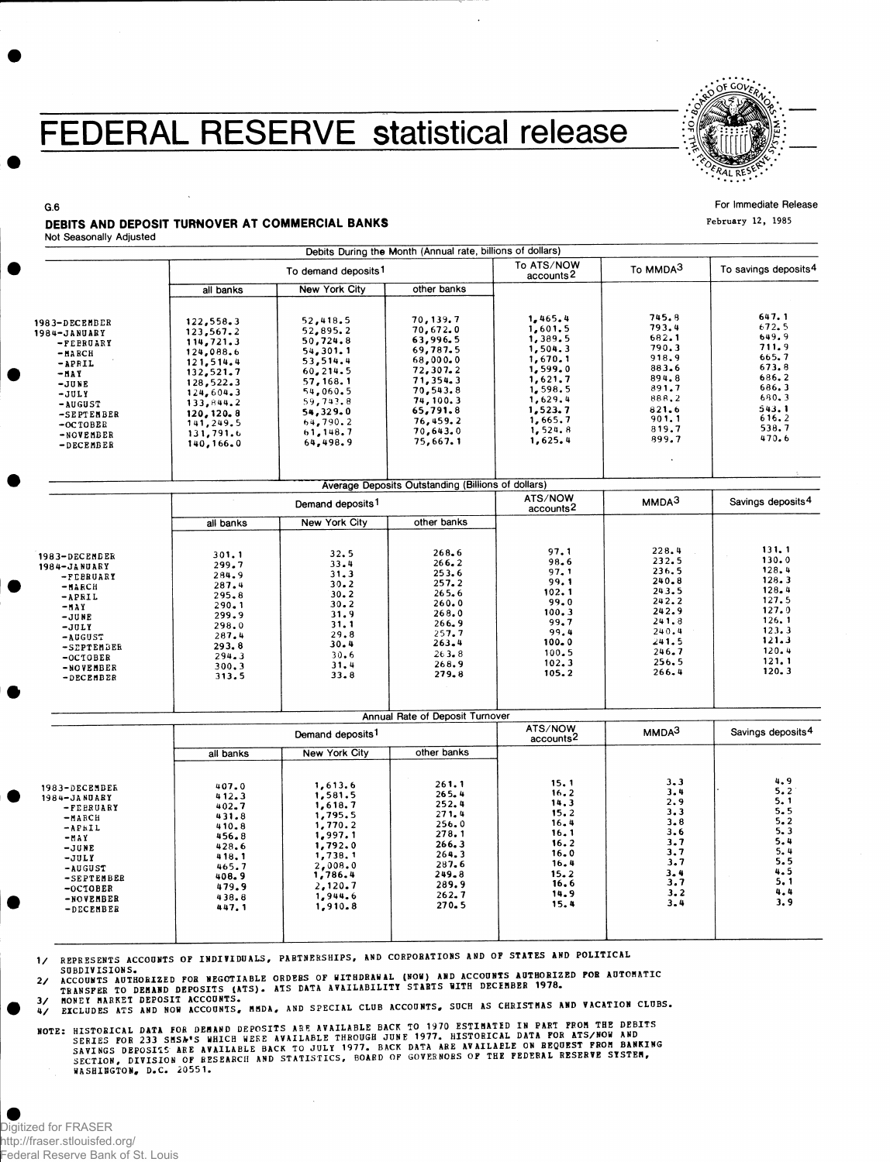## FEDERAL RESERVE statistical release



## **For Immediate Release**

February 12, 1985

### DEBITS AND DEPOSIT TURNOVER AT COMMERCIAL BANKS

**G.6** 

|                                                        |                                                                                    |                                                | Debits During the Month (Annual rate, billions of dollars) |                                          |                                  |                                  |
|--------------------------------------------------------|------------------------------------------------------------------------------------|------------------------------------------------|------------------------------------------------------------|------------------------------------------|----------------------------------|----------------------------------|
|                                                        |                                                                                    | To demand deposits <sup>1</sup>                |                                                            | To ATS/NOW<br>accounts <sup>2</sup>      | To MMDA3                         | To savings deposits <sup>4</sup> |
|                                                        | all banks                                                                          | New York City                                  | other banks                                                |                                          |                                  |                                  |
| 1983-DECEMBER<br>1984-JANUARY                          | 122,558.3<br>123,567.2<br>114,721.3                                                | 52,418.5<br>52,895.2<br>50,724.8               | 70,139.7<br>70,672.0<br>63,996.5                           | 1,465.4<br>1,601.5<br>1,389.5            | 745.8<br>793.4<br>682.1          | 647.1<br>672.5<br>649.9          |
| -FEBRUARY<br>$-MARCH$<br>$-APRIL$<br>-MAY              | 124,088.6<br>121,514.4<br>132,521.7                                                | 54,301.1<br>53,514.4<br>60,214.5               | 69,787.5<br>68,000.0<br>72,307.2                           | 1,504.3<br>1,670.1<br>1,599.0            | 790.3<br>918.9<br>883.6          | 711.9<br>665.7<br>673.8<br>686.2 |
| $-JUNE$<br>$-JULY$<br>-AUGUST                          | 128,522.3<br>124,604.3<br>133,844.2                                                | 57, 168. 1<br>54,060.5<br>59,743.8<br>54,329.0 | 71,354.3<br>70, 543.8<br>74, 100.3<br>65,791.8             | 1,621.7<br>1,598.5<br>1,629.4<br>1,523.7 | 894.8<br>891.7<br>888.2<br>821.6 | 686.3<br>680.3<br>543.1          |
| -SEPTEMBER<br>$-$ OCTOBER<br>-NOVEMBER<br>$-$ DECEMBER | 120, 120, 8<br>141,249.5<br>131,791.6<br>140,166.0                                 | 64,790.2<br>61, 148, 7<br>64,498.9             | 76,459.2<br>70,643.0<br>75,667.1                           | 1,665.7<br>1,524.8<br>1,625.4            | 901.1<br>819.7<br>899.7          | 616.2<br>538.7<br>470.6          |
|                                                        |                                                                                    |                                                |                                                            |                                          |                                  |                                  |
|                                                        | Average Deposits Outstanding (Billions of dollars)<br>Demand deposits <sup>1</sup> |                                                |                                                            | ATS/NOW<br>accounts <sup>2</sup>         | MMDA <sup>3</sup>                | Savings deposits <sup>4</sup>    |
|                                                        | all banks                                                                          | New York City                                  | other banks                                                |                                          |                                  |                                  |
| 1983-DECEMBER                                          | 301.1                                                                              | 32.5                                           | 268.6                                                      | 97.1<br>98.6                             | 228.4<br>232.5                   | 131.1<br>130.0                   |
| 1984-JANUARY<br>-FEBRUARY<br>-илксн                    | 299.7<br>284.9<br>287.4<br>295.8                                                   | 33.4<br>31.3<br>30.2<br>$30 - 2$               | 266.2<br>253.6<br>257.2<br>265.6                           | 97.1<br>99.1<br>102.1                    | 236.5<br>240.8<br>243.5          | 128.4<br>128.3<br>128.4          |
| -APRIL<br>-MAY<br>-JUNE<br>$-JULY$                     | 290.1<br>299.9<br>298.0                                                            | $30 - 2$<br>31.9<br>31.1                       | 260.0<br>268.0<br>266.9                                    | 99.0<br>100.3<br>99.7                    | 242.2<br>242.9<br>241.8          | 127.5<br>127.0<br>126.1          |
| -AUGUST<br>-SEPTEMBER<br>$-OCTOBER$                    | 287.4<br>293.8<br>294.3                                                            | 29.8<br>30.4<br>30.6                           | 257.7<br>263.4<br>263.8                                    | 99.4<br>$100 - 0$<br>100.5               | 240.4<br>241.5<br>246.7<br>256.5 | 123.3<br>121.3<br>120.4<br>121.1 |
| -NOVEMBER<br>-DECEMBER                                 | 300.3<br>313.5                                                                     | 31.4<br>33.8                                   | 268.9<br>279.8                                             | 102.3<br>105.2                           | 266.4                            | 120.3                            |
|                                                        |                                                                                    |                                                | Annual Rate of Deposit Turnover                            |                                          |                                  |                                  |
|                                                        | Demand deposits <sup>1</sup>                                                       |                                                |                                                            | ATS/NOW<br>accounts <sup>2</sup>         | MMDA <sup>3</sup>                | Savings deposits <sup>4</sup>    |
|                                                        | all banks                                                                          | New York City                                  | other banks                                                |                                          |                                  |                                  |
| 1983-DECEMBER<br>1984-JANUARY<br>-FEBRUARY<br>-MARCH   | 407.0<br>412.3<br>402.7<br>431.8                                                   | 1,613.6<br>1,581.5<br>1,618.7<br>1,795.5       | 261.1<br>265.4<br>252.4<br>271.4                           | 15.1<br>16.2<br>14.3<br>15.2             | 3.3<br>3.4<br>2.9<br>3.3         | 4.9<br>5.2<br>5.1<br>5.5         |
| -APRIL<br>$-MAY$                                       | 410.8<br>456.8<br>0.29 <sub>h</sub>                                                | 1,770.2<br>1,997.1<br>1.792.0                  | 256.0<br>278.1<br>266.3                                    | 16.4<br>16.1<br>16.2                     | 3.8<br>3.6<br>3.7                | 5.2<br>5.3<br>5.4                |

-MAY -JUNE -JULY -AUGUST -SEPTEMBER -OCTOBER -NOVEMBER -DECEMBER 428.6 **1,792.0**<br>418.1 1,738.1<br>465.7 2,008.0<br>408.9 1,786.4 479. 9 2,120. 7 438. 8 1,944. 6  $447.1$  1,910.8 266. 3 264 . 3 287. 6 249. 8 289. 9 262. 7 270. 5 16.2 16.0 16. 4 15. 2 16.6 14. 9 15. 4 3 . 7 3 . 7 3 . 4 3 . 7  $3.2$ 3 . 4 5 . 4<br>5 . 5<br>4 . 5<br>4 . 4<br>4 . 4 3 . 9

 $\frac{1}{2}$ REPRESENTS ACCOUNTS OF INDIVIDUALS, PARTNERSHIPS, AND CORPORATIONS AND OF STATES AND POLITICAL

 $\frac{2}{\pi}$ ACCOUNTS AUTHORIZED FOR NEGOTIABLE ORDERS OF WITHDRAWAL (NOW) AND ACCOUNTS AUTHORIZED FOR AUTOMATIC<br>TRANSFER TO DEMAND DEPOSITS (ATS). ATS DATA AVAILABILITY STARTS WITH DECEMBER 1978.

 $\frac{3}{4}$ 4 / EXCLUDES ATS AND NOF ACCOUNTS. HHDA. AND SPECIAL CLUB ACCOUNTS, SUCH AS CHRISTMAS AND VACATION CLUBS.

WASHIBGTON, D.C. 20551 .